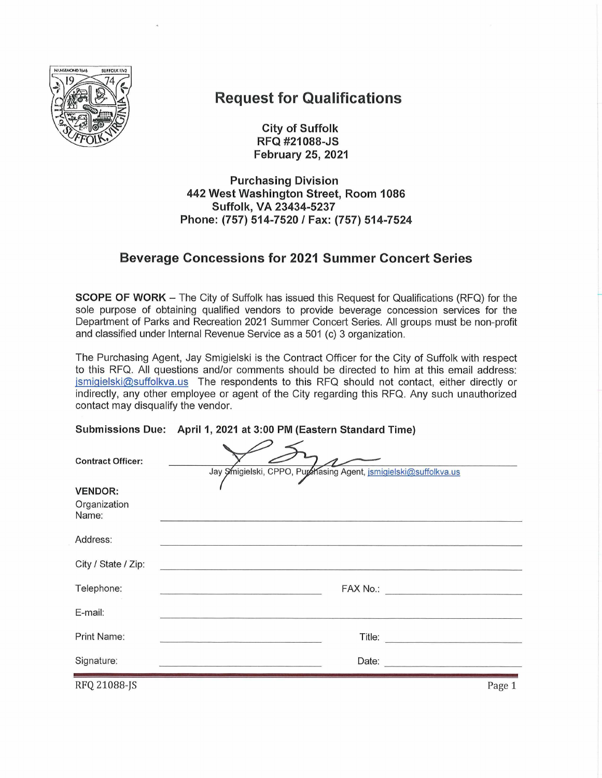

# **Request for Qualifications**

**City of Suffolk** RFQ #21088-JS **February 25, 2021** 

**Purchasing Division** 442 West Washington Street, Room 1086 Suffolk, VA 23434-5237 Phone: (757) 514-7520 / Fax: (757) 514-7524

# **Beverage Concessions for 2021 Summer Concert Series**

**SCOPE OF WORK** – The City of Suffolk has issued this Request for Qualifications (RFQ) for the sole purpose of obtaining qualified vendors to provide beverage concession services for the Department of Parks and Recreation 2021 Summer Concert Series. All groups must be non-profit and classified under Internal Revenue Service as a 501 (c) 3 organization.

The Purchasing Agent, Jay Smigielski is the Contract Officer for the City of Suffolk with respect to this RFQ. All questions and/or comments should be directed to him at this email address: jsmigielski@suffolkva.us The respondents to this RFQ should not contact, either directly or indirectly, any other employee or agent of the City regarding this RFQ. Any such unauthorized contact may disqualify the vendor.

|                                         | Submissions Due: April 1, 2021 at 3:00 PM (Eastern Standard Time)                                                                                                                                                              |
|-----------------------------------------|--------------------------------------------------------------------------------------------------------------------------------------------------------------------------------------------------------------------------------|
| <b>Contract Officer:</b>                | Jay Smigielski, CPPO, Purchasing Agent, jsmigielski@suffolkva.us                                                                                                                                                               |
| <b>VENDOR:</b><br>Organization<br>Name: |                                                                                                                                                                                                                                |
| Address:                                |                                                                                                                                                                                                                                |
| City / State / Zip:                     | the contract of the contract of the contract of the contract of the contract of                                                                                                                                                |
| Telephone:                              |                                                                                                                                                                                                                                |
| E-mail:                                 |                                                                                                                                                                                                                                |
| Print Name:                             |                                                                                                                                                                                                                                |
| Signature:                              | Date: the contract of the contract of the contract of the contract of the contract of the contract of the contract of the contract of the contract of the contract of the contract of the contract of the contract of the cont |
| RFQ 21088-JS                            | Page 1                                                                                                                                                                                                                         |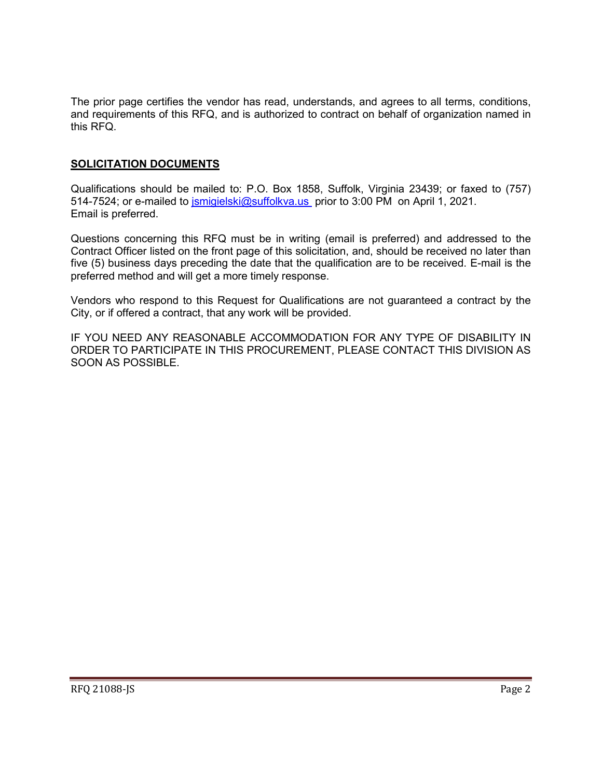The prior page certifies the vendor has read, understands, and agrees to all terms, conditions, and requirements of this RFQ, and is authorized to contract on behalf of organization named in this RFQ.

#### **SOLICITATION DOCUMENTS**

Qualifications should be mailed to: P.O. Box 1858, Suffolk, Virginia 23439; or faxed to (757) 514-7524; or e-mailed to [jsmigielski@suffolkva.us](mailto:jsmigielski@suffolkva.us) prior to 3:00 PM on April 1, 2021. Email is preferred.

Questions concerning this RFQ must be in writing (email is preferred) and addressed to the Contract Officer listed on the front page of this solicitation, and, should be received no later than five (5) business days preceding the date that the qualification are to be received. E-mail is the preferred method and will get a more timely response.

Vendors who respond to this Request for Qualifications are not guaranteed a contract by the City, or if offered a contract, that any work will be provided.

IF YOU NEED ANY REASONABLE ACCOMMODATION FOR ANY TYPE OF DISABILITY IN ORDER TO PARTICIPATE IN THIS PROCUREMENT, PLEASE CONTACT THIS DIVISION AS SOON AS POSSIBLE.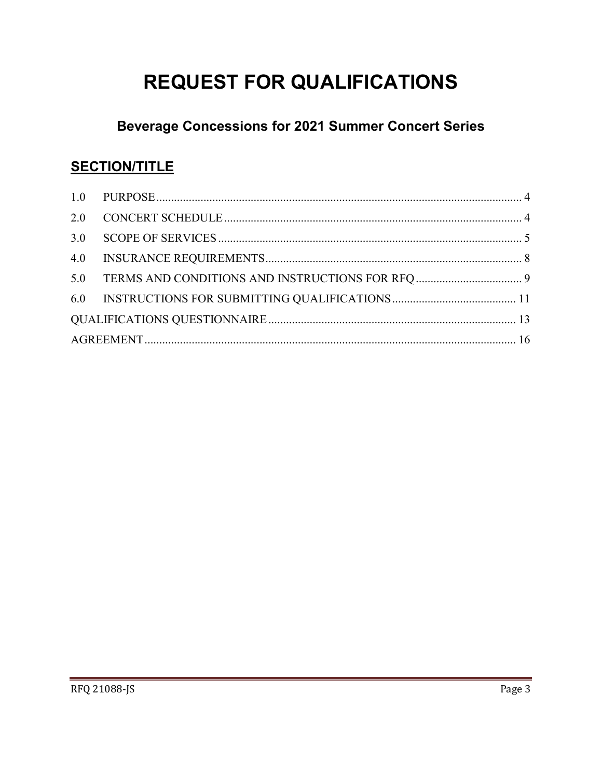# **REQUEST FOR QUALIFICATIONS**

# **Beverage Concessions for 2021 Summer Concert Series**

# **SECTION/TITLE**

| 4.0 |  |
|-----|--|
|     |  |
|     |  |
|     |  |
|     |  |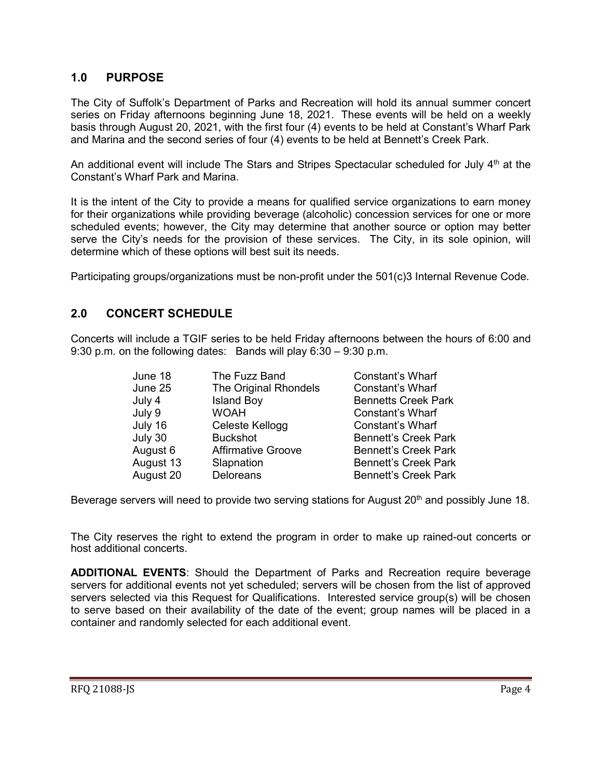### <span id="page-3-0"></span>**1.0 PURPOSE**

The City of Suffolk's Department of Parks and Recreation will hold its annual summer concert series on Friday afternoons beginning June 18, 2021. These events will be held on a weekly basis through August 20, 2021, with the first four (4) events to be held at Constant's Wharf Park and Marina and the second series of four (4) events to be held at Bennett's Creek Park.

An additional event will include The Stars and Stripes Spectacular scheduled for July  $4<sup>th</sup>$  at the Constant's Wharf Park and Marina.

It is the intent of the City to provide a means for qualified service organizations to earn money for their organizations while providing beverage (alcoholic) concession services for one or more scheduled events; however, the City may determine that another source or option may better serve the City's needs for the provision of these services. The City, in its sole opinion, will determine which of these options will best suit its needs.

Participating groups/organizations must be non-profit under the 501(c)3 Internal Revenue Code.

# <span id="page-3-1"></span>**2.0 CONCERT SCHEDULE**

Concerts will include a TGIF series to be held Friday afternoons between the hours of 6:00 and 9:30 p.m. on the following dates: Bands will play 6:30 – 9:30 p.m.

| The Fuzz Band             | <b>Constant's Wharf</b>     |
|---------------------------|-----------------------------|
| The Original Rhondels     | <b>Constant's Wharf</b>     |
| <b>Island Boy</b>         | <b>Bennetts Creek Park</b>  |
| <b>WOAH</b>               | Constant's Wharf            |
| Celeste Kellogg           | Constant's Wharf            |
| <b>Buckshot</b>           | <b>Bennett's Creek Park</b> |
| <b>Affirmative Groove</b> | <b>Bennett's Creek Park</b> |
| Slapnation                | <b>Bennett's Creek Park</b> |
| <b>Deloreans</b>          | <b>Bennett's Creek Park</b> |
|                           |                             |

Beverage servers will need to provide two serving stations for August 20<sup>th</sup> and possibly June 18.

The City reserves the right to extend the program in order to make up rained-out concerts or host additional concerts.

**ADDITIONAL EVENTS**: Should the Department of Parks and Recreation require beverage servers for additional events not yet scheduled; servers will be chosen from the list of approved servers selected via this Request for Qualifications. Interested service group(s) will be chosen to serve based on their availability of the date of the event; group names will be placed in a container and randomly selected for each additional event.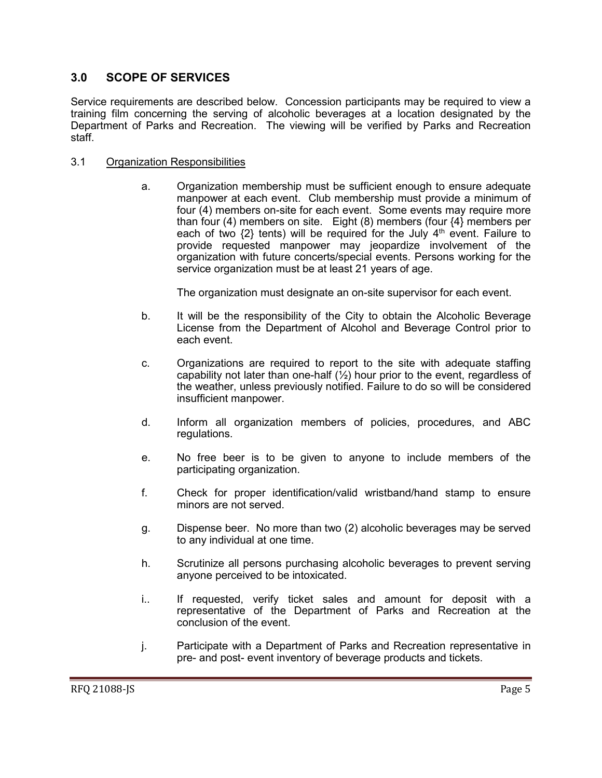### <span id="page-4-0"></span>**3.0 SCOPE OF SERVICES**

Service requirements are described below. Concession participants may be required to view a training film concerning the serving of alcoholic beverages at a location designated by the Department of Parks and Recreation. The viewing will be verified by Parks and Recreation staff.

#### 3.1 Organization Responsibilities

a. Organization membership must be sufficient enough to ensure adequate manpower at each event. Club membership must provide a minimum of four (4) members on-site for each event. Some events may require more than four (4) members on site. Eight (8) members (four  $\{4\}$  members per each of two  $\{2\}$  tents) will be required for the July  $4<sup>th</sup>$  event. Failure to provide requested manpower may jeopardize involvement of the organization with future concerts/special events. Persons working for the service organization must be at least 21 years of age.

The organization must designate an on-site supervisor for each event.

- b. It will be the responsibility of the City to obtain the Alcoholic Beverage License from the Department of Alcohol and Beverage Control prior to each event.
- c. Organizations are required to report to the site with adequate staffing capability not later than one-half  $(\frac{1}{2})$  hour prior to the event, regardless of the weather, unless previously notified. Failure to do so will be considered insufficient manpower.
- d. Inform all organization members of policies, procedures, and ABC regulations.
- e. No free beer is to be given to anyone to include members of the participating organization.
- f. Check for proper identification/valid wristband/hand stamp to ensure minors are not served.
- g. Dispense beer. No more than two (2) alcoholic beverages may be served to any individual at one time.
- h. Scrutinize all persons purchasing alcoholic beverages to prevent serving anyone perceived to be intoxicated.
- i.. If requested, verify ticket sales and amount for deposit with a representative of the Department of Parks and Recreation at the conclusion of the event.
- j. Participate with a Department of Parks and Recreation representative in pre- and post- event inventory of beverage products and tickets.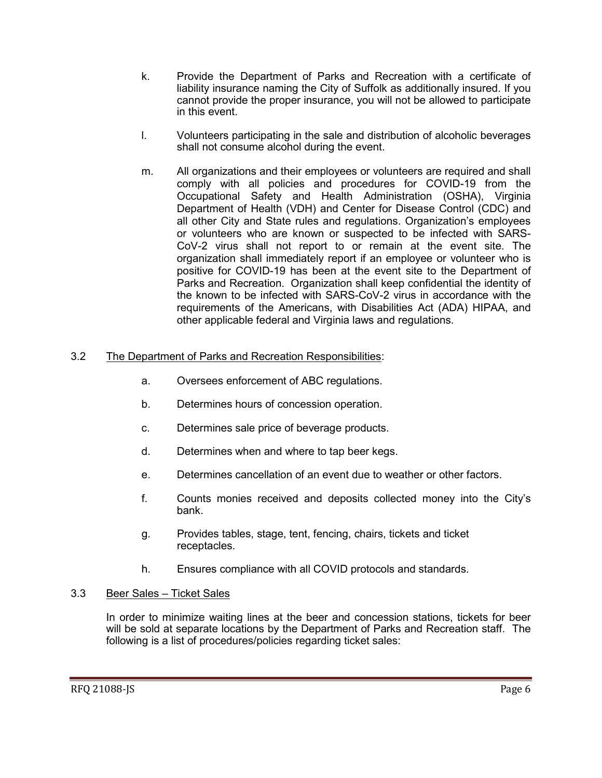- k. Provide the Department of Parks and Recreation with a certificate of liability insurance naming the City of Suffolk as additionally insured. If you cannot provide the proper insurance, you will not be allowed to participate in this event.
- l. Volunteers participating in the sale and distribution of alcoholic beverages shall not consume alcohol during the event.
- m. All organizations and their employees or volunteers are required and shall comply with all policies and procedures for COVID-19 from the Occupational Safety and Health Administration (OSHA), Virginia Department of Health (VDH) and Center for Disease Control (CDC) and all other City and State rules and regulations. Organization's employees or volunteers who are known or suspected to be infected with SARS-CoV-2 virus shall not report to or remain at the event site. The organization shall immediately report if an employee or volunteer who is positive for COVID-19 has been at the event site to the Department of Parks and Recreation. Organization shall keep confidential the identity of the known to be infected with SARS-CoV-2 virus in accordance with the requirements of the Americans, with Disabilities Act (ADA) HIPAA, and other applicable federal and Virginia laws and regulations.

#### 3.2 The Department of Parks and Recreation Responsibilities:

- a. Oversees enforcement of ABC regulations.
- b. Determines hours of concession operation.
- c. Determines sale price of beverage products.
- d. Determines when and where to tap beer kegs.
- e. Determines cancellation of an event due to weather or other factors.
- f. Counts monies received and deposits collected money into the City's bank.
- g. Provides tables, stage, tent, fencing, chairs, tickets and ticket receptacles.
- h. Ensures compliance with all COVID protocols and standards.

#### 3.3 Beer Sales – Ticket Sales

In order to minimize waiting lines at the beer and concession stations, tickets for beer will be sold at separate locations by the Department of Parks and Recreation staff. The following is a list of procedures/policies regarding ticket sales: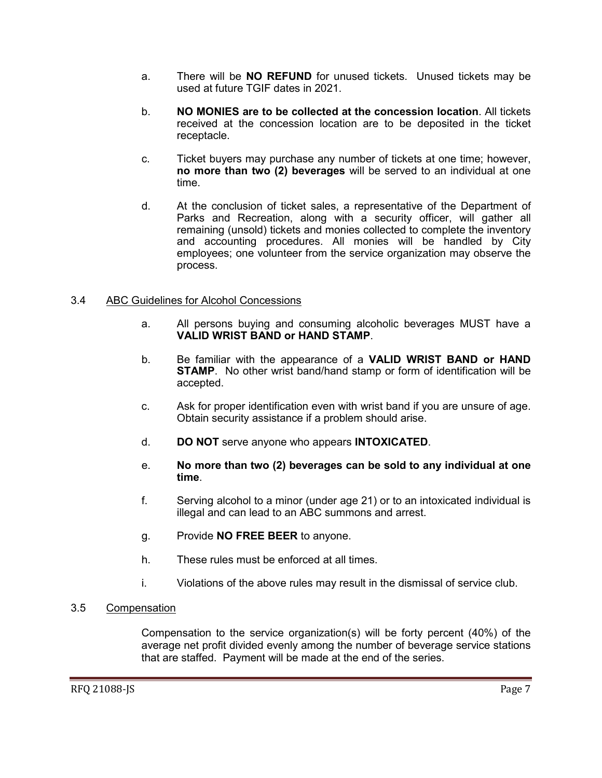- a. There will be **NO REFUND** for unused tickets. Unused tickets may be used at future TGIF dates in 2021.
- b. **NO MONIES are to be collected at the concession location**. All tickets received at the concession location are to be deposited in the ticket receptacle.
- c. Ticket buyers may purchase any number of tickets at one time; however, **no more than two (2) beverages** will be served to an individual at one time.
- d. At the conclusion of ticket sales, a representative of the Department of Parks and Recreation, along with a security officer, will gather all remaining (unsold) tickets and monies collected to complete the inventory and accounting procedures. All monies will be handled by City employees; one volunteer from the service organization may observe the process.

#### 3.4 ABC Guidelines for Alcohol Concessions

- a. All persons buying and consuming alcoholic beverages MUST have a **VALID WRIST BAND or HAND STAMP**.
- b. Be familiar with the appearance of a **VALID WRIST BAND or HAND STAMP**. No other wrist band/hand stamp or form of identification will be accepted.
- c. Ask for proper identification even with wrist band if you are unsure of age. Obtain security assistance if a problem should arise.
- d. **DO NOT** serve anyone who appears **INTOXICATED**.
- e. **No more than two (2) beverages can be sold to any individual at one time**.
- f. Serving alcohol to a minor (under age 21) or to an intoxicated individual is illegal and can lead to an ABC summons and arrest.
- g. Provide **NO FREE BEER** to anyone.
- h. These rules must be enforced at all times.
- i. Violations of the above rules may result in the dismissal of service club.

#### 3.5 Compensation

Compensation to the service organization(s) will be forty percent (40%) of the average net profit divided evenly among the number of beverage service stations that are staffed. Payment will be made at the end of the series.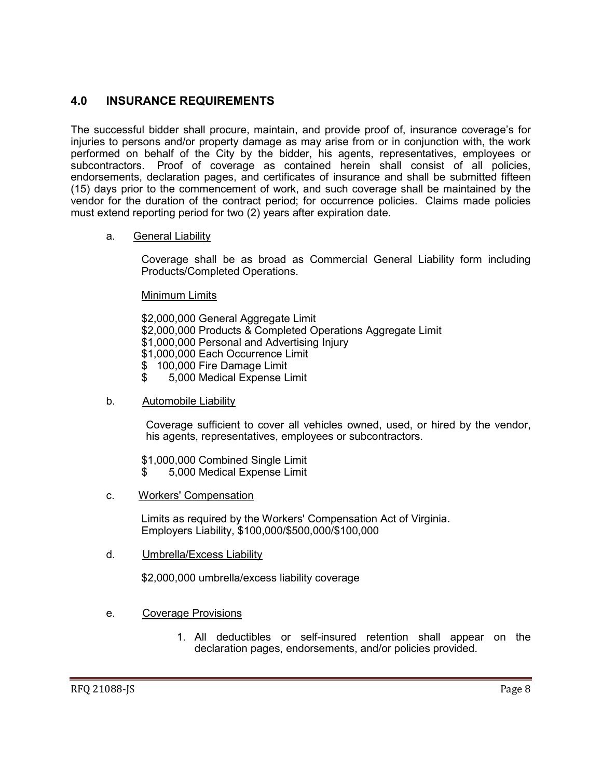## <span id="page-7-0"></span>**4.0 INSURANCE REQUIREMENTS**

The successful bidder shall procure, maintain, and provide proof of, insurance coverage's for injuries to persons and/or property damage as may arise from or in conjunction with, the work performed on behalf of the City by the bidder, his agents, representatives, employees or subcontractors. Proof of coverage as contained herein shall consist of all policies, endorsements, declaration pages, and certificates of insurance and shall be submitted fifteen (15) days prior to the commencement of work, and such coverage shall be maintained by the vendor for the duration of the contract period; for occurrence policies. Claims made policies must extend reporting period for two (2) years after expiration date.

#### a. General Liability

Coverage shall be as broad as Commercial General Liability form including Products/Completed Operations.

Minimum Limits

\$2,000,000 General Aggregate Limit \$2,000,000 Products & Completed Operations Aggregate Limit \$1,000,000 Personal and Advertising Injury \$1,000,000 Each Occurrence Limit \$ 100,000 Fire Damage Limit \$ 5,000 Medical Expense Limit

b. Automobile Liability

Coverage sufficient to cover all vehicles owned, used, or hired by the vendor, his agents, representatives, employees or subcontractors.

\$1,000,000 Combined Single Limit \$ 5,000 Medical Expense Limit

c. Workers' Compensation

Limits as required by the Workers' Compensation Act of Virginia. Employers Liability, \$100,000/\$500,000/\$100,000

d. Umbrella/Excess Liability

\$2,000,000 umbrella/excess liability coverage

#### e. Coverage Provisions

1. All deductibles or self-insured retention shall appear on the declaration pages, endorsements, and/or policies provided.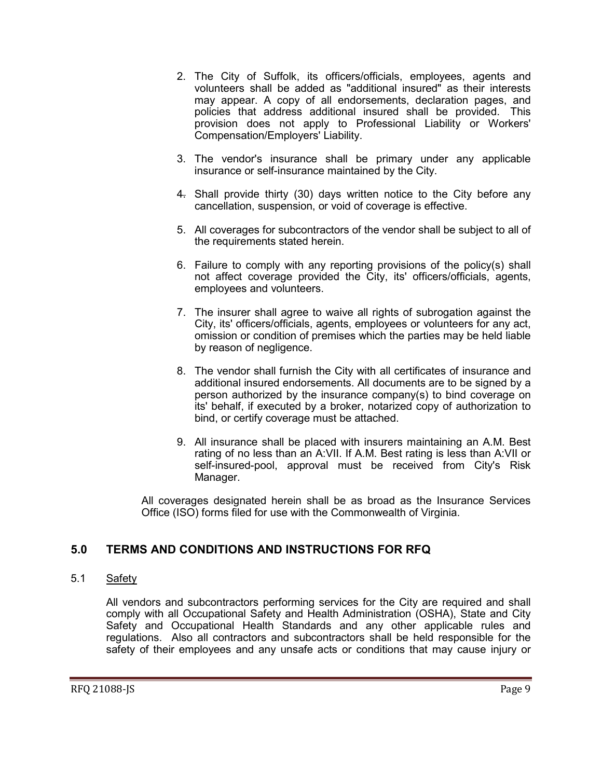- 2. The City of Suffolk, its officers/officials, employees, agents and volunteers shall be added as "additional insured" as their interests may appear. A copy of all endorsements, declaration pages, and policies that address additional insured shall be provided. This provision does not apply to Professional Liability or Workers' Compensation/Employers' Liability.
- 3. The vendor's insurance shall be primary under any applicable insurance or self-insurance maintained by the City.
- 4. Shall provide thirty (30) days written notice to the City before any cancellation, suspension, or void of coverage is effective.
- 5. All coverages for subcontractors of the vendor shall be subject to all of the requirements stated herein.
- 6. Failure to comply with any reporting provisions of the policy(s) shall not affect coverage provided the City, its' officers/officials, agents, employees and volunteers.
- 7. The insurer shall agree to waive all rights of subrogation against the City, its' officers/officials, agents, employees or volunteers for any act, omission or condition of premises which the parties may be held liable by reason of negligence.
- 8. The vendor shall furnish the City with all certificates of insurance and additional insured endorsements. All documents are to be signed by a person authorized by the insurance company(s) to bind coverage on its' behalf, if executed by a broker, notarized copy of authorization to bind, or certify coverage must be attached.
- 9. All insurance shall be placed with insurers maintaining an A.M. Best rating of no less than an A:VII. If A.M. Best rating is less than A:VII or self-insured-pool, approval must be received from City's Risk Manager.

All coverages designated herein shall be as broad as the Insurance Services Office (ISO) forms filed for use with the Commonwealth of Virginia.

### <span id="page-8-0"></span>**5.0 TERMS AND CONDITIONS AND INSTRUCTIONS FOR RFQ**

#### 5.1 Safety

All vendors and subcontractors performing services for the City are required and shall comply with all Occupational Safety and Health Administration (OSHA), State and City Safety and Occupational Health Standards and any other applicable rules and regulations. Also all contractors and subcontractors shall be held responsible for the safety of their employees and any unsafe acts or conditions that may cause injury or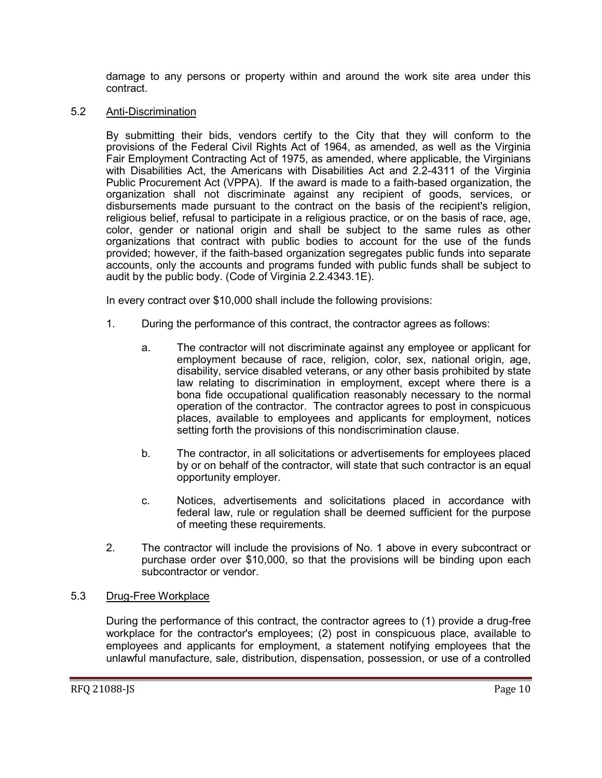damage to any persons or property within and around the work site area under this contract.

#### 5.2 Anti-Discrimination

By submitting their bids, vendors certify to the City that they will conform to the provisions of the Federal Civil Rights Act of 1964, as amended, as well as the Virginia Fair Employment Contracting Act of 1975, as amended, where applicable, the Virginians with Disabilities Act, the Americans with Disabilities Act and 2.2-4311 of the Virginia Public Procurement Act (VPPA). If the award is made to a faith-based organization, the organization shall not discriminate against any recipient of goods, services, or disbursements made pursuant to the contract on the basis of the recipient's religion, religious belief, refusal to participate in a religious practice, or on the basis of race, age, color, gender or national origin and shall be subject to the same rules as other organizations that contract with public bodies to account for the use of the funds provided; however, if the faith-based organization segregates public funds into separate accounts, only the accounts and programs funded with public funds shall be subject to audit by the public body. (Code of Virginia 2.2.4343.1E).

In every contract over \$10,000 shall include the following provisions:

- 1. During the performance of this contract, the contractor agrees as follows:
	- a. The contractor will not discriminate against any employee or applicant for employment because of race, religion, color, sex, national origin, age, disability, service disabled veterans, or any other basis prohibited by state law relating to discrimination in employment, except where there is a bona fide occupational qualification reasonably necessary to the normal operation of the contractor. The contractor agrees to post in conspicuous places, available to employees and applicants for employment, notices setting forth the provisions of this nondiscrimination clause.
	- b. The contractor, in all solicitations or advertisements for employees placed by or on behalf of the contractor, will state that such contractor is an equal opportunity employer.
	- c. Notices, advertisements and solicitations placed in accordance with federal law, rule or regulation shall be deemed sufficient for the purpose of meeting these requirements.
- 2. The contractor will include the provisions of No. 1 above in every subcontract or purchase order over \$10,000, so that the provisions will be binding upon each subcontractor or vendor.

#### 5.3 Drug-Free Workplace

During the performance of this contract, the contractor agrees to (1) provide a drug-free workplace for the contractor's employees; (2) post in conspicuous place, available to employees and applicants for employment, a statement notifying employees that the unlawful manufacture, sale, distribution, dispensation, possession, or use of a controlled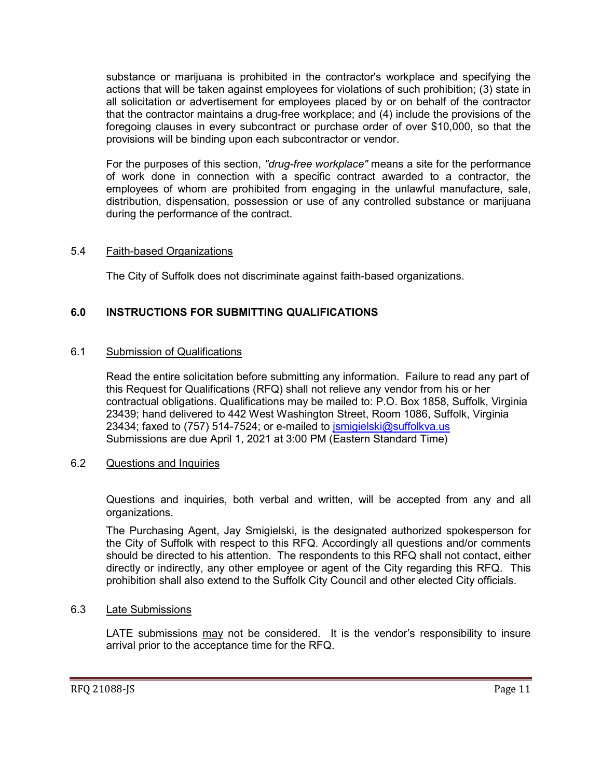substance or marijuana is prohibited in the contractor's workplace and specifying the actions that will be taken against employees for violations of such prohibition; (3) state in all solicitation or advertisement for employees placed by or on behalf of the contractor that the contractor maintains a drug-free workplace; and (4) include the provisions of the foregoing clauses in every subcontract or purchase order of over \$10,000, so that the provisions will be binding upon each subcontractor or vendor.

For the purposes of this section, *"drug-free workplace"* means a site for the performance of work done in connection with a specific contract awarded to a contractor, the employees of whom are prohibited from engaging in the unlawful manufacture, sale, distribution, dispensation, possession or use of any controlled substance or marijuana during the performance of the contract.

#### 5.4 Faith-based Organizations

The City of Suffolk does not discriminate against faith-based organizations.

### <span id="page-10-0"></span>**6.0 INSTRUCTIONS FOR SUBMITTING QUALIFICATIONS**

#### 6.1 Submission of Qualifications

Read the entire solicitation before submitting any information. Failure to read any part of this Request for Qualifications (RFQ) shall not relieve any vendor from his or her contractual obligations. Qualifications may be mailed to: P.O. Box 1858, Suffolk, Virginia 23439; hand delivered to 442 West Washington Street, Room 1086, Suffolk, Virginia 23434; faxed to (757) 514-7524; or e-mailed to *ismigielski@suffolkva.us* Submissions are due April 1, 2021 at 3:00 PM (Eastern Standard Time)

#### 6.2 Questions and Inquiries

Questions and inquiries, both verbal and written, will be accepted from any and all organizations.

The Purchasing Agent, Jay Smigielski, is the designated authorized spokesperson for the City of Suffolk with respect to this RFQ. Accordingly all questions and/or comments should be directed to his attention. The respondents to this RFQ shall not contact, either directly or indirectly, any other employee or agent of the City regarding this RFQ. This prohibition shall also extend to the Suffolk City Council and other elected City officials.

#### 6.3 Late Submissions

LATE submissions may not be considered. It is the vendor's responsibility to insure arrival prior to the acceptance time for the RFQ.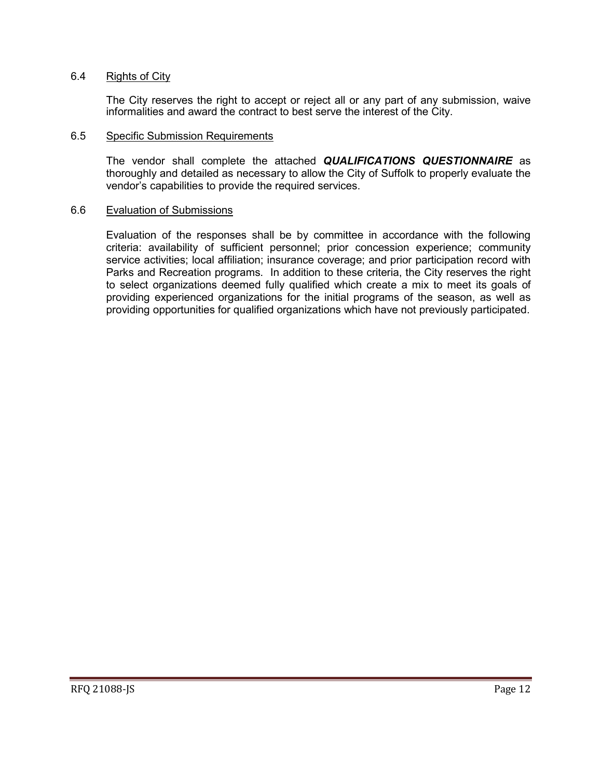#### 6.4 Rights of City

The City reserves the right to accept or reject all or any part of any submission, waive informalities and award the contract to best serve the interest of the City.

#### 6.5 Specific Submission Requirements

The vendor shall complete the attached *QUALIFICATIONS QUESTIONNAIRE* as thoroughly and detailed as necessary to allow the City of Suffolk to properly evaluate the vendor's capabilities to provide the required services.

#### 6.6 Evaluation of Submissions

Evaluation of the responses shall be by committee in accordance with the following criteria: availability of sufficient personnel; prior concession experience; community service activities; local affiliation; insurance coverage; and prior participation record with Parks and Recreation programs. In addition to these criteria, the City reserves the right to select organizations deemed fully qualified which create a mix to meet its goals of providing experienced organizations for the initial programs of the season, as well as providing opportunities for qualified organizations which have not previously participated.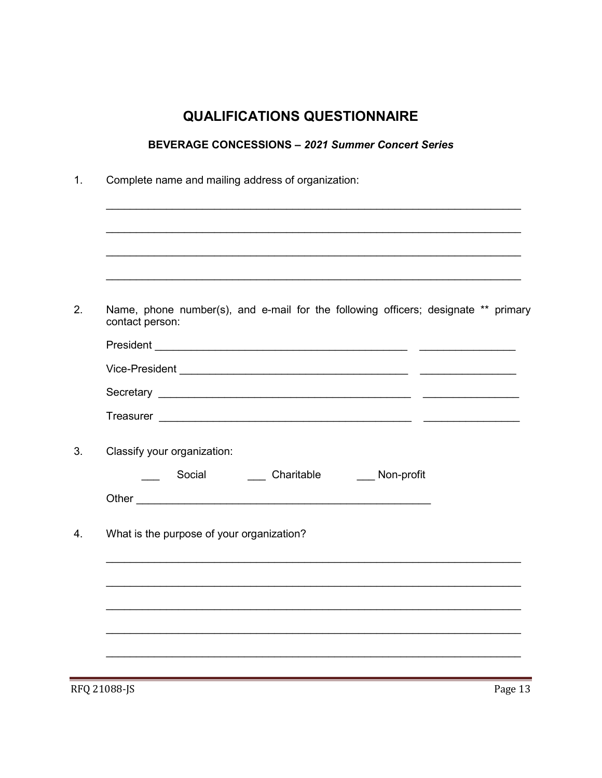# **QUALIFICATIONS QUESTIONNAIRE**

# **BEVERAGE CONCESSIONS - 2021 Summer Concert Series**

<span id="page-12-0"></span>

| Name, phone number(s), and e-mail for the following officers; designate ** primary<br>contact person: |
|-------------------------------------------------------------------------------------------------------|
|                                                                                                       |
|                                                                                                       |
|                                                                                                       |
|                                                                                                       |
| Classify your organization:                                                                           |
| <b>Non-profit</b>                                                                                     |
|                                                                                                       |
|                                                                                                       |
| What is the purpose of your organization?                                                             |
|                                                                                                       |
|                                                                                                       |
|                                                                                                       |

RFQ 21088-JS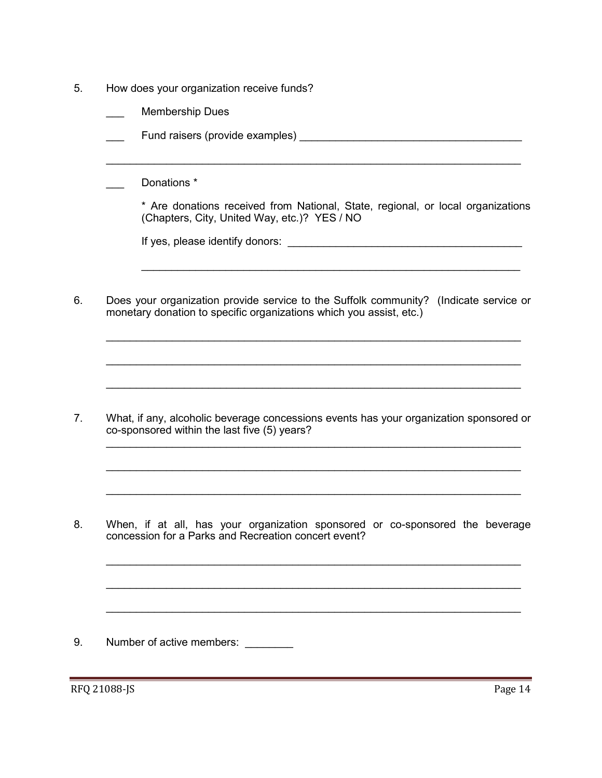- 5. How does your organization receive funds?
	- Membership Dues
	- Fund raisers (provide examples) **EXAMPLE 1988**
	- Donations  $*$

\* Are donations received from National, State, regional, or local organizations (Chapters, City, United Way, etc.)? YES / NO

 $\mathcal{L}_\text{max}$  , and the contribution of the contribution of the contribution of the contribution of the contribution of the contribution of the contribution of the contribution of the contribution of the contribution of t

 $\mathcal{L}_\text{max}$  , and the contribution of the contribution of the contribution of the contribution of the contribution of the contribution of the contribution of the contribution of the contribution of the contribution of t

| If yes, please identify donors: |  |
|---------------------------------|--|
|                                 |  |

6. Does your organization provide service to the Suffolk community? (Indicate service or monetary donation to specific organizations which you assist, etc.)

 $\mathcal{L}_\text{max}$  , and the contribution of the contribution of the contribution of the contribution of the contribution of the contribution of the contribution of the contribution of the contribution of the contribution of t

 $\mathcal{L}_\text{max}$  , and the contribution of the contribution of the contribution of the contribution of the contribution of the contribution of the contribution of the contribution of the contribution of the contribution of t

 $\mathcal{L}_\text{max}$  , and the contribution of the contribution of the contribution of the contribution of the contribution of the contribution of the contribution of the contribution of the contribution of the contribution of t

 $\mathcal{L}_\text{max}$  , and the contribution of the contribution of the contribution of the contribution of the contribution of the contribution of the contribution of the contribution of the contribution of the contribution of t

 $\mathcal{L}_\text{max}$  , and the contribution of the contribution of the contribution of the contribution of the contribution of the contribution of the contribution of the contribution of the contribution of the contribution of t

 $\mathcal{L}_\text{max}$  , and the contribution of the contribution of the contribution of the contribution of the contribution of the contribution of the contribution of the contribution of the contribution of the contribution of t

 $\mathcal{L}_\text{max}$  , and the contribution of the contribution of the contribution of the contribution of the contribution of the contribution of the contribution of the contribution of the contribution of the contribution of t

 $\mathcal{L}_\text{max}$  , and the contribution of the contribution of the contribution of the contribution of the contribution of the contribution of the contribution of the contribution of the contribution of the contribution of t

\_\_\_\_\_\_\_\_\_\_\_\_\_\_\_\_\_\_\_\_\_\_\_\_\_\_\_\_\_\_\_\_\_\_\_\_\_\_\_\_\_\_\_\_\_\_\_\_\_\_\_\_\_\_\_\_\_\_\_\_\_\_\_\_\_\_\_\_\_

7. What, if any, alcoholic beverage concessions events has your organization sponsored or co-sponsored within the last five (5) years?

8. When, if at all, has your organization sponsored or co-sponsored the beverage concession for a Parks and Recreation concert event?

9. Number of active members: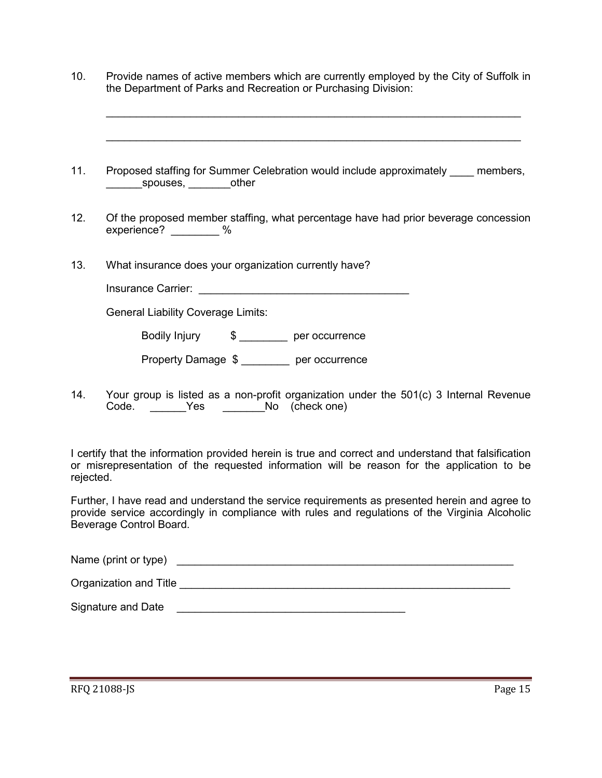10. Provide names of active members which are currently employed by the City of Suffolk in the Department of Parks and Recreation or Purchasing Division:

 $\_$  , and the set of the set of the set of the set of the set of the set of the set of the set of the set of the set of the set of the set of the set of the set of the set of the set of the set of the set of the set of th

 $\_$  , and the set of the set of the set of the set of the set of the set of the set of the set of the set of the set of the set of the set of the set of the set of the set of the set of the set of the set of the set of th

- 11. Proposed staffing for Summer Celebration would include approximately members, spouses, bother
- 12. Of the proposed member staffing, what percentage have had prior beverage concession experience? %
- 13. What insurance does your organization currently have?

| Insurance Carrier: |  |
|--------------------|--|
|                    |  |

General Liability Coverage Limits:

Bodily Injury \$ \_\_\_\_\_\_\_\_ per occurrence

Property Damage \$ per occurrence

14. Your group is listed as a non-profit organization under the 501(c) 3 Internal Revenue Code. Yes No (check one)

I certify that the information provided herein is true and correct and understand that falsification or misrepresentation of the requested information will be reason for the application to be rejected.

Further, I have read and understand the service requirements as presented herein and agree to provide service accordingly in compliance with rules and regulations of the Virginia Alcoholic Beverage Control Board.

Name (print or type) and the state of the state of the state of the state of the state of the state of the state of the state of the state of the state of the state of the state of the state of the state of the state of th

Organization and Title \_\_\_\_\_\_\_\_\_\_\_\_\_\_\_\_\_\_\_\_\_\_\_\_\_\_\_\_\_\_\_\_\_\_\_\_\_\_\_\_\_\_\_\_\_\_\_\_\_\_\_\_\_\_\_

Signature and Date \_\_\_\_\_\_\_\_\_\_\_\_\_\_\_\_\_\_\_\_\_\_\_\_\_\_\_\_\_\_\_\_\_\_\_\_\_\_